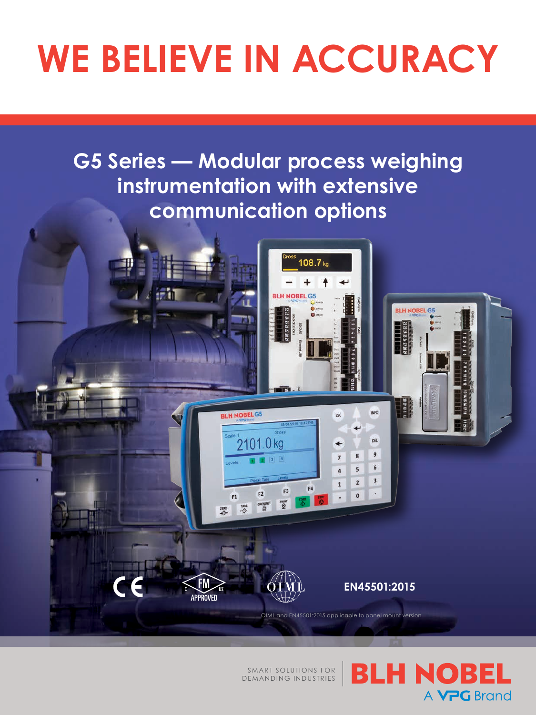## **WE BELIEVE IN ACCURACY**

**G5 Series — Modular process weighing instrumentation with extensive communication options**



SMART SOLUTIONS FOR DEMANDING INDUSTRIES **BLH NOBEL** A **VPG** Brand